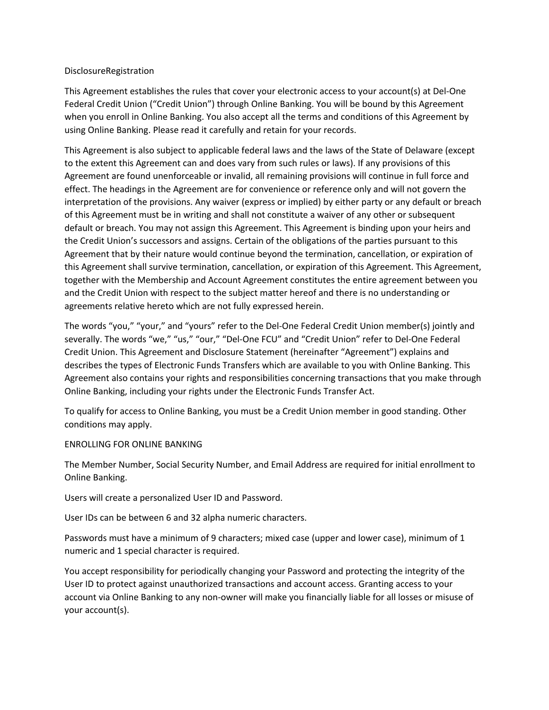## DisclosureRegistration

This Agreement establishes the rules that cover your electronic access to your account(s) at Del-One Federal Credit Union ("Credit Union") through Online Banking. You will be bound by this Agreement when you enroll in Online Banking. You also accept all the terms and conditions of this Agreement by using Online Banking. Please read it carefully and retain for your records.

This Agreement is also subject to applicable federal laws and the laws of the State of Delaware (except to the extent this Agreement can and does vary from such rules or laws). If any provisions of this Agreement are found unenforceable or invalid, all remaining provisions will continue in full force and effect. The headings in the Agreement are for convenience or reference only and will not govern the interpretation of the provisions. Any waiver (express or implied) by either party or any default or breach of this Agreement must be in writing and shall not constitute a waiver of any other or subsequent default or breach. You may not assign this Agreement. This Agreement is binding upon your heirs and the Credit Union's successors and assigns. Certain of the obligations of the parties pursuant to this Agreement that by their nature would continue beyond the termination, cancellation, or expiration of this Agreement shall survive termination, cancellation, or expiration of this Agreement. This Agreement, together with the Membership and Account Agreement constitutes the entire agreement between you and the Credit Union with respect to the subject matter hereof and there is no understanding or agreements relative hereto which are not fully expressed herein.

The words "you," "your," and "yours" refer to the Del-One Federal Credit Union member(s) jointly and severally. The words "we," "us," "our," "Del-One FCU" and "Credit Union" refer to Del-One Federal Credit Union. This Agreement and Disclosure Statement (hereinafter "Agreement") explains and describes the types of Electronic Funds Transfers which are available to you with Online Banking. This Agreement also contains your rights and responsibilities concerning transactions that you make through Online Banking, including your rights under the Electronic Funds Transfer Act.

To qualify for access to Online Banking, you must be a Credit Union member in good standing. Other conditions may apply.

## ENROLLING FOR ONLINE BANKING

The Member Number, Social Security Number, and Email Address are required for initial enrollment to Online Banking.

Users will create a personalized User ID and Password.

User IDs can be between 6 and 32 alpha numeric characters.

Passwords must have a minimum of 9 characters; mixed case (upper and lower case), minimum of 1 numeric and 1 special character is required.

You accept responsibility for periodically changing your Password and protecting the integrity of the User ID to protect against unauthorized transactions and account access. Granting access to your account via Online Banking to any non-owner will make you financially liable for all losses or misuse of your account(s).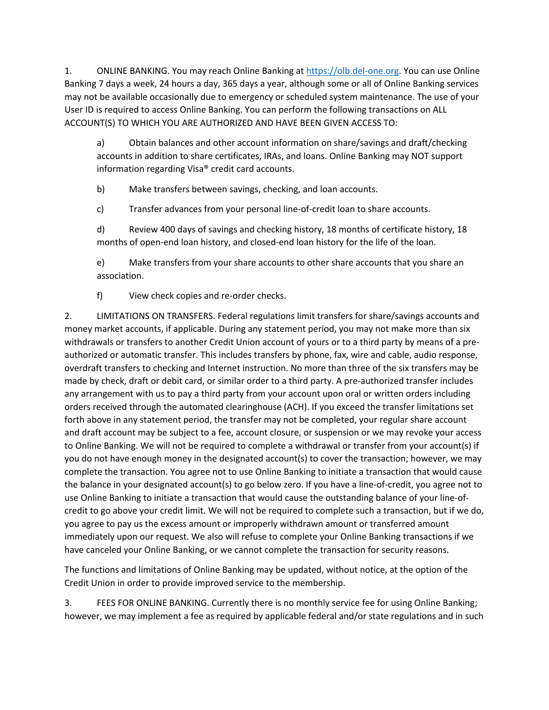1. ONLINE BANKING. You may reach Online Banking at https://olb.del-one.org. You can use Online Banking 7 days a week, 24 hours a day, 365 days a year, although some or all of Online Banking services may not be available occasionally due to emergency or scheduled system maintenance. The use of your User ID is required to access Online Banking. You can perform the following transactions on ALL ACCOUNT(S) TO WHICH YOU ARE AUTHORIZED AND HAVE BEEN GIVEN ACCESS TO:

a) Obtain balances and other account information on share/savings and draft/checking accounts in addition to share certificates, IRAs, and loans. Online Banking may NOT support information regarding Visa® credit card accounts.

b) Make transfers between savings, checking, and loan accounts.

c) Transfer advances from your personal line-of-credit loan to share accounts.

d) Review 400 days of savings and checking history, 18 months of certificate history, 18 months of open-end loan history, and closed-end loan history for the life of the loan.

e) Make transfers from your share accounts to other share accounts that you share an association.

f) View check copies and re-order checks.

2. LIMITATIONS ON TRANSFERS. Federal regulations limit transfers for share/savings accounts and money market accounts, if applicable. During any statement period, you may not make more than six withdrawals or transfers to another Credit Union account of yours or to a third party by means of a preauthorized or automatic transfer. This includes transfers by phone, fax, wire and cable, audio response, overdraft transfers to checking and Internet instruction. No more than three of the six transfers may be made by check, draft or debit card, or similar order to a third party. A pre-authorized transfer includes any arrangement with us to pay a third party from your account upon oral or written orders including orders received through the automated clearinghouse (ACH). If you exceed the transfer limitations set forth above in any statement period, the transfer may not be completed, your regular share account and draft account may be subject to a fee, account closure, or suspension or we may revoke your access to Online Banking. We will not be required to complete a withdrawal or transfer from your account(s) if you do not have enough money in the designated account(s) to cover the transaction; however, we may complete the transaction. You agree not to use Online Banking to initiate a transaction that would cause the balance in your designated account(s) to go below zero. If you have a line-of-credit, you agree not to use Online Banking to initiate a transaction that would cause the outstanding balance of your line-ofcredit to go above your credit limit. We will not be required to complete such a transaction, but if we do, you agree to pay us the excess amount or improperly withdrawn amount or transferred amount immediately upon our request. We also will refuse to complete your Online Banking transactions if we have canceled your Online Banking, or we cannot complete the transaction for security reasons.

The functions and limitations of Online Banking may be updated, without notice, at the option of the Credit Union in order to provide improved service to the membership.

3. FEES FOR ONLINE BANKING. Currently there is no monthly service fee for using Online Banking; however, we may implement a fee as required by applicable federal and/or state regulations and in such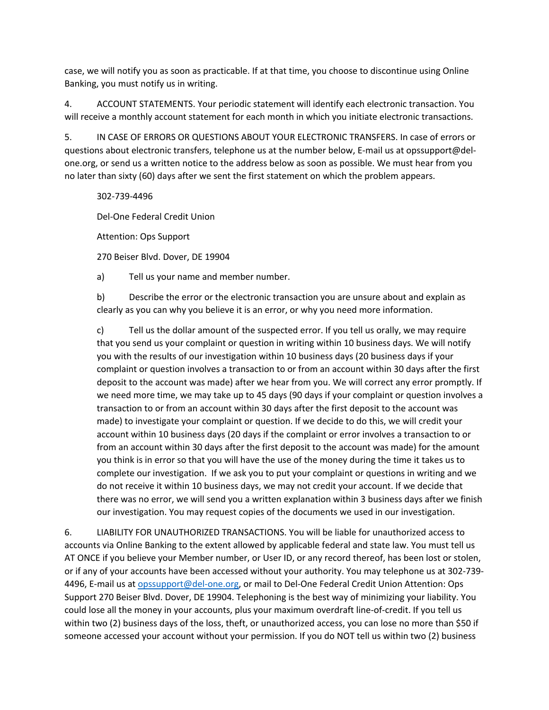case, we will notify you as soon as practicable. If at that time, you choose to discontinue using Online Banking, you must notify us in writing.

4. ACCOUNT STATEMENTS. Your periodic statement will identify each electronic transaction. You will receive a monthly account statement for each month in which you initiate electronic transactions.

5. IN CASE OF ERRORS OR QUESTIONS ABOUT YOUR ELECTRONIC TRANSFERS. In case of errors or questions about electronic transfers, telephone us at the number below, E-mail us at opssupport@delone.org, or send us a written notice to the address below as soon as possible. We must hear from you no later than sixty (60) days after we sent the first statement on which the problem appears.

302-739-4496

Del-One Federal Credit Union

Attention: Ops Support

270 Beiser Blvd. Dover, DE 19904

a) Tell us your name and member number.

b) Describe the error or the electronic transaction you are unsure about and explain as clearly as you can why you believe it is an error, or why you need more information.

c) Tell us the dollar amount of the suspected error. If you tell us orally, we may require that you send us your complaint or question in writing within 10 business days. We will notify you with the results of our investigation within 10 business days (20 business days if your complaint or question involves a transaction to or from an account within 30 days after the first deposit to the account was made) after we hear from you. We will correct any error promptly. If we need more time, we may take up to 45 days (90 days if your complaint or question involves a transaction to or from an account within 30 days after the first deposit to the account was made) to investigate your complaint or question. If we decide to do this, we will credit your account within 10 business days (20 days if the complaint or error involves a transaction to or from an account within 30 days after the first deposit to the account was made) for the amount you think is in error so that you will have the use of the money during the time it takes us to complete our investigation. If we ask you to put your complaint or questions in writing and we do not receive it within 10 business days, we may not credit your account. If we decide that there was no error, we will send you a written explanation within 3 business days after we finish our investigation. You may request copies of the documents we used in our investigation.

6. LIABILITY FOR UNAUTHORIZED TRANSACTIONS. You will be liable for unauthorized access to accounts via Online Banking to the extent allowed by applicable federal and state law. You must tell us AT ONCE if you believe your Member number, or User ID, or any record thereof, has been lost or stolen, or if any of your accounts have been accessed without your authority. You may telephone us at 302-739- 4496, E-mail us at opssupport@del-one.org, or mail to Del-One Federal Credit Union Attention: Ops Support 270 Beiser Blvd. Dover, DE 19904. Telephoning is the best way of minimizing your liability. You could lose all the money in your accounts, plus your maximum overdraft line-of-credit. If you tell us within two (2) business days of the loss, theft, or unauthorized access, you can lose no more than \$50 if someone accessed your account without your permission. If you do NOT tell us within two (2) business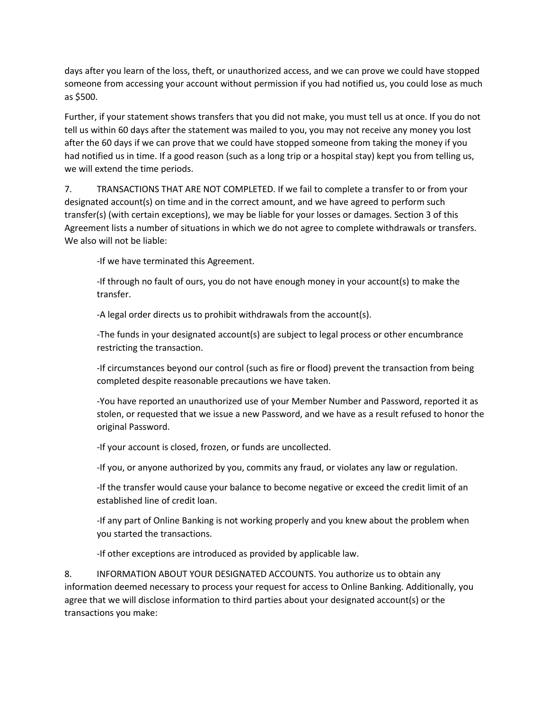days after you learn of the loss, theft, or unauthorized access, and we can prove we could have stopped someone from accessing your account without permission if you had notified us, you could lose as much as \$500.

Further, if your statement shows transfers that you did not make, you must tell us at once. If you do not tell us within 60 days after the statement was mailed to you, you may not receive any money you lost after the 60 days if we can prove that we could have stopped someone from taking the money if you had notified us in time. If a good reason (such as a long trip or a hospital stay) kept you from telling us, we will extend the time periods.

7. TRANSACTIONS THAT ARE NOT COMPLETED. If we fail to complete a transfer to or from your designated account(s) on time and in the correct amount, and we have agreed to perform such transfer(s) (with certain exceptions), we may be liable for your losses or damages. Section 3 of this Agreement lists a number of situations in which we do not agree to complete withdrawals or transfers. We also will not be liable:

-If we have terminated this Agreement.

-If through no fault of ours, you do not have enough money in your account(s) to make the transfer.

-A legal order directs us to prohibit withdrawals from the account(s).

-The funds in your designated account(s) are subject to legal process or other encumbrance restricting the transaction.

-If circumstances beyond our control (such as fire or flood) prevent the transaction from being completed despite reasonable precautions we have taken.

-You have reported an unauthorized use of your Member Number and Password, reported it as stolen, or requested that we issue a new Password, and we have as a result refused to honor the original Password.

-If your account is closed, frozen, or funds are uncollected.

-If you, or anyone authorized by you, commits any fraud, or violates any law or regulation.

-If the transfer would cause your balance to become negative or exceed the credit limit of an established line of credit loan.

-If any part of Online Banking is not working properly and you knew about the problem when you started the transactions.

-If other exceptions are introduced as provided by applicable law.

8. INFORMATION ABOUT YOUR DESIGNATED ACCOUNTS. You authorize us to obtain any information deemed necessary to process your request for access to Online Banking. Additionally, you agree that we will disclose information to third parties about your designated account(s) or the transactions you make: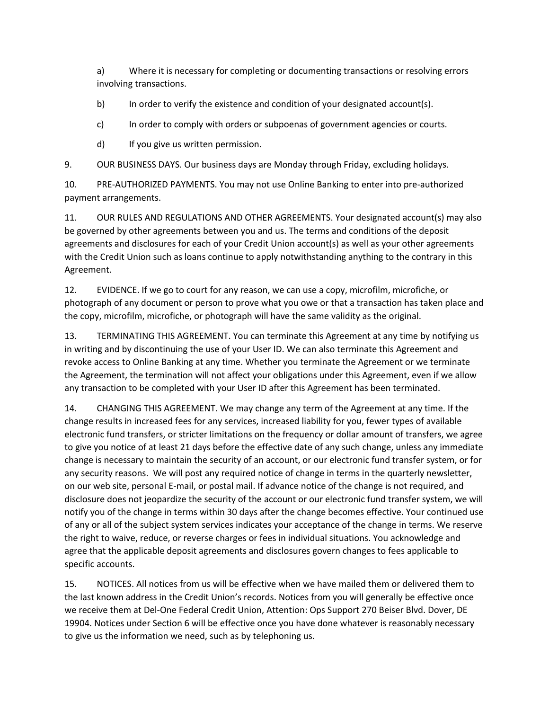a) Where it is necessary for completing or documenting transactions or resolving errors involving transactions.

b) In order to verify the existence and condition of your designated account(s).

c) In order to comply with orders or subpoenas of government agencies or courts.

d) If you give us written permission.

9. OUR BUSINESS DAYS. Our business days are Monday through Friday, excluding holidays.

10. PRE-AUTHORIZED PAYMENTS. You may not use Online Banking to enter into pre-authorized payment arrangements.

11. OUR RULES AND REGULATIONS AND OTHER AGREEMENTS. Your designated account(s) may also be governed by other agreements between you and us. The terms and conditions of the deposit agreements and disclosures for each of your Credit Union account(s) as well as your other agreements with the Credit Union such as loans continue to apply notwithstanding anything to the contrary in this Agreement.

12. EVIDENCE. If we go to court for any reason, we can use a copy, microfilm, microfiche, or photograph of any document or person to prove what you owe or that a transaction has taken place and the copy, microfilm, microfiche, or photograph will have the same validity as the original.

13. TERMINATING THIS AGREEMENT. You can terminate this Agreement at any time by notifying us in writing and by discontinuing the use of your User ID. We can also terminate this Agreement and revoke access to Online Banking at any time. Whether you terminate the Agreement or we terminate the Agreement, the termination will not affect your obligations under this Agreement, even if we allow any transaction to be completed with your User ID after this Agreement has been terminated.

14. CHANGING THIS AGREEMENT. We may change any term of the Agreement at any time. If the change results in increased fees for any services, increased liability for you, fewer types of available electronic fund transfers, or stricter limitations on the frequency or dollar amount of transfers, we agree to give you notice of at least 21 days before the effective date of any such change, unless any immediate change is necessary to maintain the security of an account, or our electronic fund transfer system, or for any security reasons. We will post any required notice of change in terms in the quarterly newsletter, on our web site, personal E-mail, or postal mail. If advance notice of the change is not required, and disclosure does not jeopardize the security of the account or our electronic fund transfer system, we will notify you of the change in terms within 30 days after the change becomes effective. Your continued use of any or all of the subject system services indicates your acceptance of the change in terms. We reserve the right to waive, reduce, or reverse charges or fees in individual situations. You acknowledge and agree that the applicable deposit agreements and disclosures govern changes to fees applicable to specific accounts.

15. NOTICES. All notices from us will be effective when we have mailed them or delivered them to the last known address in the Credit Union's records. Notices from you will generally be effective once we receive them at Del-One Federal Credit Union, Attention: Ops Support 270 Beiser Blvd. Dover, DE 19904. Notices under Section 6 will be effective once you have done whatever is reasonably necessary to give us the information we need, such as by telephoning us.